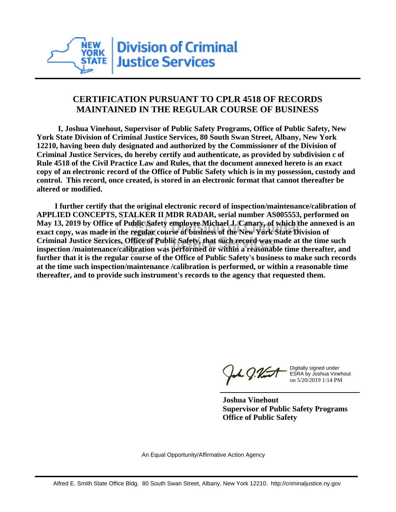

## **CERTIFICATION PURSUANT TO CPLR 4518 OF RECORDS MAINTAINED IN THE REGULAR COURSE OF BUSINESS**

 **I, Joshua Vinehout, Supervisor of Public Safety Programs, Office of Public Safety, New York State Division of Criminal Justice Services, 80 South Swan Street, Albany, New York 12210, having been duly designated and authorized by the Commissioner of the Division of Criminal Justice Services, do hereby certify and authenticate, as provided by subdivision c of Rule 4518 of the Civil Practice Law and Rules, that the document annexed hereto is an exact copy of an electronic record of the Office of Public Safety which is in my possession, custody and control. This record, once created, is stored in an electronic format that cannot thereafter be altered or modified.**

 **I further certify that the original electronic record of inspection/maintenance/calibration of APPLIED CONCEPTS, STALKER II MDR RADAR, serial number AS005553, performed on May 13, 2019 by Office of Public Safety employee Michael J. Canary, of which the annexed is an exact copy, was made in the regular course of business of the New York State Division of Criminal Justice Services, Office of Public Safety, that such record was made at the time such inspection /maintenance/calibration was performed or within a reasonable time thereafter, and further that it is the regular course of the Office of Public Safety's business to make such records at the time such inspection/maintenance /calibration is performed, or within a reasonable time thereafter, and to provide such instrument's records to the agency that requested them.**

h J.Vint

Digitally signed under ESRA by Joshua Vinehout on 5/20/2019 1:14 PM

**Joshua Vinehout Supervisor of Public Safety Programs Office of Public Safety**

An Equal Opportunity/Affirmative Action Agency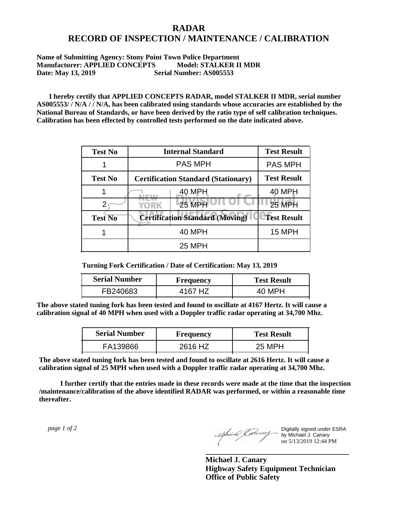## **RADAR RECORD OF INSPECTION / MAINTENANCE / CALIBRATION**

## **Name of Submitting Agency: Stony Point Town Police Department Manufacturer: APPLIED CONCEPTS Model: STALKER II MDR Date: May 13, 2019** Serial Number: AS005553

 **I hereby certify that APPLIED CONCEPTS RADAR, model STALKER II MDR, serial number AS005553/ / N/A / / N/A, has been calibrated using standards whose accuracies are established by the National Bureau of Standards, or have been derived by the ratio type of self calibration techniques. Calibration has been effected by controlled tests performed on the date indicated above.**

| <b>Test No</b> | <b>Internal Standard</b>                   | <b>Test Result</b> |
|----------------|--------------------------------------------|--------------------|
|                | <b>PAS MPH</b>                             | <b>PAS MPH</b>     |
| <b>Test No</b> | <b>Certification Standard (Stationary)</b> | <b>Test Result</b> |
|                | 40 MPH                                     | <b>40 MPH</b>      |
|                | 25 MPH<br>YORK                             | <b>25 MPH</b>      |
| <b>Test No</b> | <b>Certification Standard (Moving)</b>     | <b>Test Result</b> |
|                | <b>40 MPH</b>                              | <b>15 MPH</b>      |
|                | <b>25 MPH</b>                              |                    |

**Turning Fork Certification / Date of Certification: May 13, 2019**

| <b>Serial Number</b> | Frequency | <b>Test Result</b> |
|----------------------|-----------|--------------------|
| FB240683             | 4167 HZ   | 40 MPH             |

**The above stated tuning fork has been tested and found to oscillate at 4167 Hertz. It will cause a calibration signal of 40 MPH when used with a Doppler traffic radar operating at 34,700 Mhz.**

| <b>Serial Number</b> | Frequency | <b>Test Result</b> |
|----------------------|-----------|--------------------|
| FA139866             | 2616 HZ   | 25 MPH             |

**The above stated tuning fork has been tested and found to oscillate at 2616 Hertz. It will cause a calibration signal of 25 MPH when used with a Doppler traffic radar operating at 34,700 Mhz.**

 **I further certify that the entries made in these records were made at the time that the inspection /maintenance/calibration of the above identified RADAR was performed, or within a reasonable time thereafter.**

 *page 1 of 2* 

Digitally signed under ESRA by Michael J. Canary on 5/13/2019 12:44 PM

**Michael J. Canary Highway Safety Equipment Technician Office of Public Safety**

**\_\_\_\_\_\_\_\_\_\_\_\_\_\_\_\_\_\_\_\_\_\_\_\_\_\_\_\_\_\_\_\_\_\_\_\_\_**